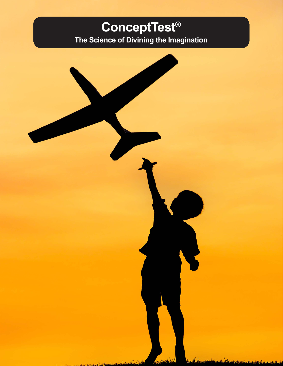# **ConceptTest®**

**The Science of Divining the Imagination**



Advisoritation of Continued in the Contract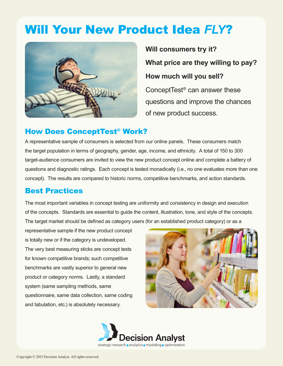# Will Your New Product Idea *FLY*?



**Will consumers try it? What price are they willing to pay? How much will you sell?** ConceptTest® can answer these questions and improve the chances of new product success.

#### How Does ConceptTest® Work?

A representative sample of consumers is selected from our online panels. These consumers match the target population in terms of geography, gender, age, income, and ethnicity. A total of 150 to 300 target-audience consumers are invited to view the new product concept online and complete a battery of questions and diagnostic ratings. Each concept is tested monadically (i.e., no one evaluates more than one concept). The results are compared to historic norms, competitive benchmarks, and action standards.

#### Best Practices

The most important variables in concept testing are uniformity and consistency in design and execution of the concepts. Standards are essential to guide the content, illustration, tone, and style of the concepts. The target market should be defined as category users (for an established product category) or as a

representative sample if the new product concept is totally new or if the category is undeveloped. The very best measuring sticks are concept tests for known competitive brands; such competitive benchmarks are vastly superior to general new product or category norms. Lastly, a standard system (same sampling methods, same questionnaire, same data collection, same coding and tabulation, etc.) is absolutely necessary.



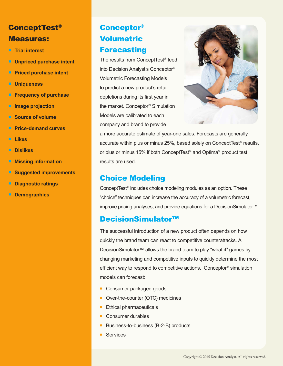## ConceptTest® Measures:

- **Trial interest**
- **Unpriced purchase intent**
- **Priced purchase intent**
- **Uniqueness**
- **Frequency of purchase**
- **Image projection**
- **Source of volume**
- **Price-demand curves**
- **Likes**
- **Dislikes**
- **Missing information**
- **Suggested improvements**
- **Diagnostic ratings**
- **Demographics**

### Conceptor® Volumetric **Forecasting**

The results from ConceptTest® feed into Decision Analyst's Conceptor® Volumetric Forecasting Models to predict a new product's retail depletions during its first year in the market. Conceptor® Simulation Models are calibrated to each company and brand to provide



a more accurate estimate of year-one sales. Forecasts are generally accurate within plus or minus 25%, based solely on ConceptTest® results, or plus or minus 15% if both ConceptTest® and Optima® product test results are used.

#### Choice Modeling

ConceptTest® includes choice modeling modules as an option. These "choice" techniques can increase the accuracy of a volumetric forecast, improve pricing analyses, and provide equations for a DecisionSimulator™.

#### DecisionSimulator™

The successful introduction of a new product often depends on how quickly the brand team can react to competitive counterattacks. A DecisionSimulator™ allows the brand team to play "what if" games by changing marketing and competitive inputs to quickly determine the most efficient way to respond to competitive actions. Conceptor® simulation models can forecast:

- Consumer packaged goods
- Over-the-counter (OTC) medicines
- **Ethical pharmaceuticals**
- Consumer durables
- Business-to-business (B-2-B) products
- **Services**